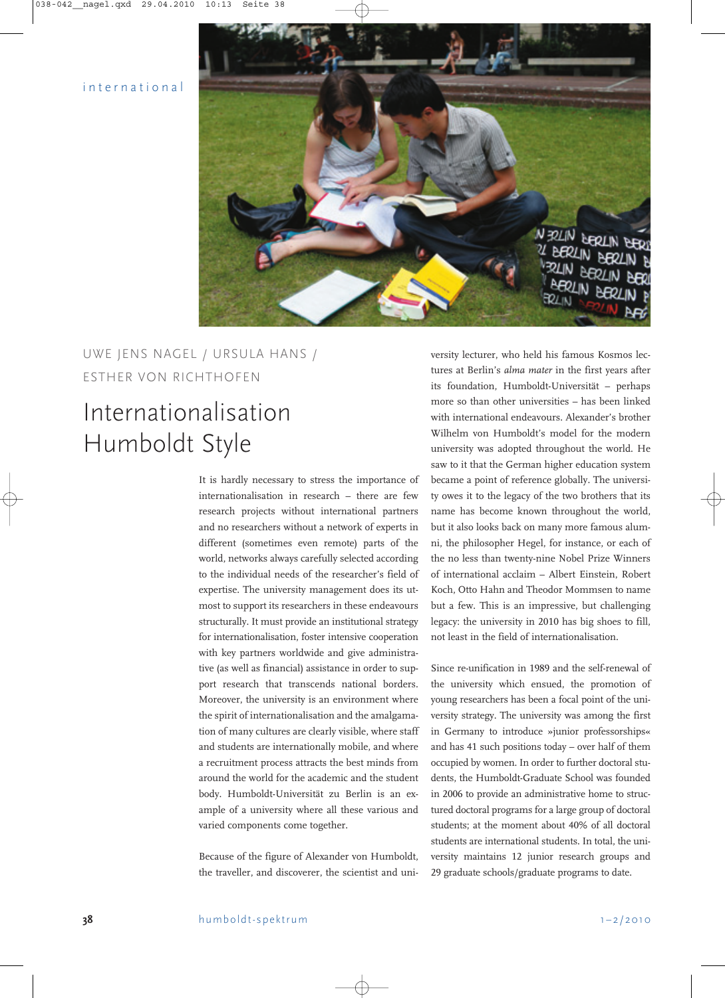## international



## UWE JENS NAGEL / URSULA HANS / ESTHER VON RICHTHOFEN

## Internationalisation Humboldt Style

It is hardly necessary to stress the importance of internationalisation in research  $-$  there are few research projects without international partners and no researchers without a network of experts in different (sometimes even remote) parts of the world, networks always carefully selected according to the individual needs of the researcher's field of expertise. The university management does its utmost to support its researchers in these endeavours structurally. It must provide an institutional strategy for internationalisation, foster intensive cooperation with key partners worldwide and give administrative (as well as financial) assistance in order to support research that transcends national borders. Moreover, the university is an environment where the spirit of internationalisation and the amalgamation of many cultures are clearly visible, where staff and students are internationally mobile, and where a recruitment process attracts the best minds from around the world for the academic and the student body. Humboldt-Universität zu Berlin is an example of a university where all these various and varied components come together.

Because of the figure of Alexander von Humboldt, the traveller, and discoverer, the scientist and university lecturer, who held his famous Kosmos lectures at Berlin's *alma mater* in the first years after its foundation, Humboldt-Universität - perhaps more so than other universities  $-$  has been linked with international endeavours. Alexander's brother Wilhelm von Humboldt's model for the modern university was adopted throughout the world. He saw to it that the German higher education system became a point of reference globally. The university owes it to the legacy of the two brothers that its name has become known throughout the world, but it also looks back on many more famous alumni, the philosopher Hegel, for instance, or each of the no less than twenty-nine Nobel Prize Winners of international acclaim - Albert Einstein, Robert Koch, Otto Hahn and Theodor Mommsen to name but a few. This is an impressive, but challenging legacy: the university in 2010 has big shoes to fill, not least in the field of internationalisation.

Since re-unification in 1989 and the self-renewal of the university which ensued, the promotion of young researchers has been a focal point of the university strategy. The university was among the first in Germany to introduce »junior professorships« and has  $41$  such positions today  $-$  over half of them occupied by women. In order to further doctoral students, the Humboldt-Graduate School was founded in 2006 to provide an administrative home to structured doctoral programs for a large group of doctoral students; at the moment about 40% of all doctoral students are international students. In total, the university maintains 12 junior research groups and 29 graduate schools/graduate programs to date.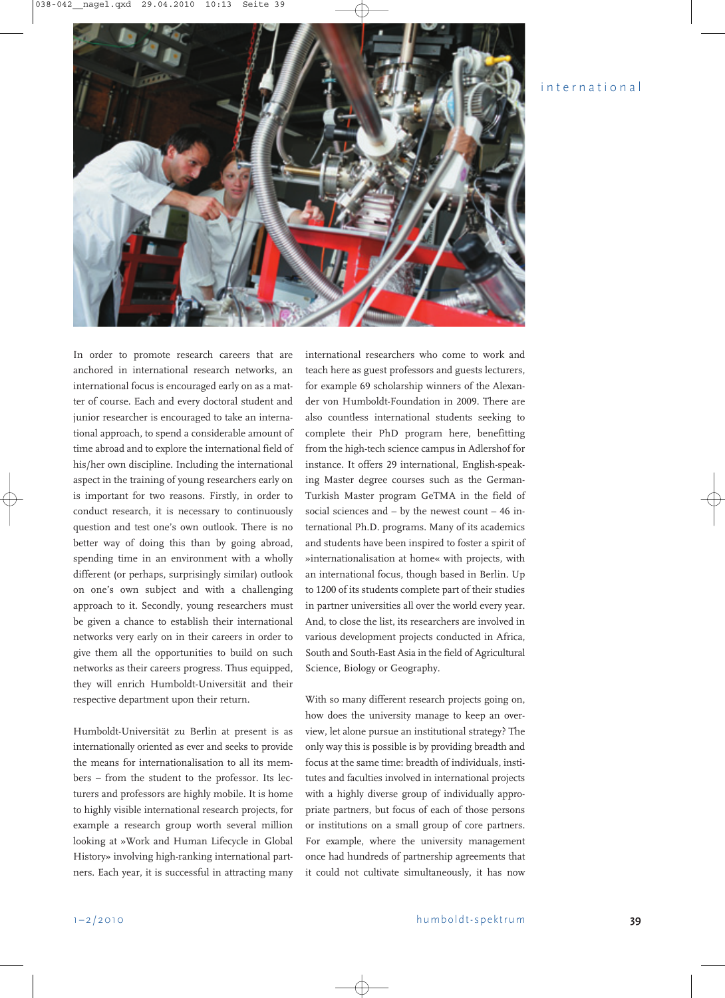## international



In order to promote research careers that are anchored in international research networks, an international focus is encouraged early on as a matter of course. Each and every doctoral student and junior researcher is encouraged to take an international approach, to spend a considerable amount of time abroad and to explore the international field of his/her own discipline. Including the international aspect in the training of young researchers early on is important for two reasons. Firstly, in order to conduct research, it is necessary to continuously question and test one's own outlook. There is no better way of doing this than by going abroad, spending time in an environment with a wholly different (or perhaps, surprisingly similar) outlook on one's own subject and with a challenging approach to it. Secondly, young researchers must be given a chance to establish their international networks very early on in their careers in order to give them all the opportunities to build on such networks as their careers progress. Thus equipped, they will enrich Humboldt-Universität and their respective department upon their return.

Humboldt-Universität zu Berlin at present is as internationally oriented as ever and seeks to provide the means for internationalisation to all its members – from the student to the professor. Its lecturers and professors are highly mobile. It is home to highly visible international research projects, for example a research group worth several million looking at »Work and Human Lifecycle in Global History» involving high-ranking international partners. Each year, it is successful in attracting many

international researchers who come to work and teach here as guest professors and guests lecturers, for example 69 scholarship winners of the Alexander von Humboldt-Foundation in 2009. There are also countless international students seeking to complete their PhD program here, benefitting from the high-tech science campus in Adlershof for instance. It offers 29 international, English-speaking Master degree courses such as the German-Turkish Master program GeTMA in the field of social sciences and  $-$  by the newest count  $-46$  international Ph.D. programs. Many of its academics and students have been inspired to foster a spirit of »internationalisation at home« with projects, with an international focus, though based in Berlin. Up to 1200 of its students complete part of their studies in partner universities all over the world every year. And, to close the list, its researchers are involved in various development projects conducted in Africa, South and South-East Asia in the field of Agricultural Science, Biology or Geography.

With so many different research projects going on, how does the university manage to keep an overview, let alone pursue an institutional strategy? The only way this is possible is by providing breadth and focus at the same time: breadth of individuals, institutes and faculties involved in international projects with a highly diverse group of individually appropriate partners, but focus of each of those persons or institutions on a small group of core partners. For example, where the university management once had hundreds of partnership agreements that it could not cultivate simultaneously, it has now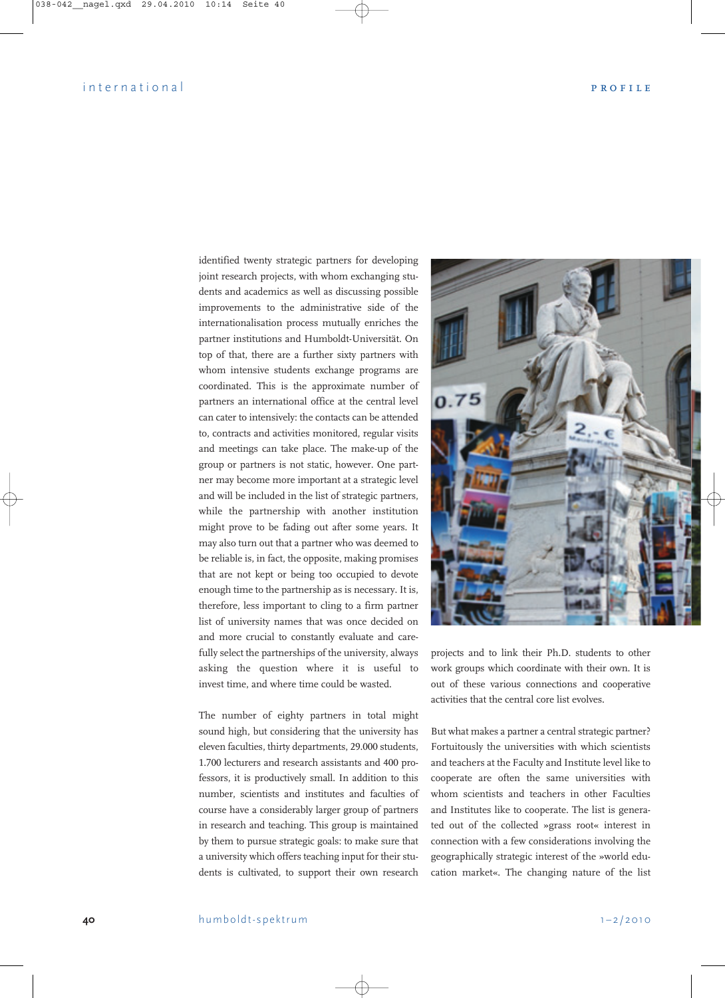identified twenty strategic partners for developing joint research projects, with whom exchanging students and academics as well as discussing possible improvements to the administrative side of the internationalisation process mutually enriches the partner institutions and Humboldt-Universität. On top of that, there are a further sixty partners with whom intensive students exchange programs are coordinated. This is the approximate number of partners an international office at the central level can cater to intensively: the contacts can be attended to, contracts and activities monitored, regular visits and meetings can take place. The make-up of the group or partners is not static, however. One partner may become more important at a strategic level and will be included in the list of strategic partners, while the partnership with another institution might prove to be fading out after some years. It may also turn out that a partner who was deemed to be reliable is, in fact, the opposite, making promises that are not kept or being too occupied to devote enough time to the partnership as is necessary. It is, therefore, less important to cling to a firm partner list of university names that was once decided on and more crucial to constantly evaluate and carefully select the partnerships of the university, always asking the question where it is useful to invest time, and where time could be wasted.

The number of eighty partners in total might sound high, but considering that the university has eleven faculties, thirty departments, 29.000 students, 1.700 lecturers and research assistants and 400 professors, it is productively small. In addition to this number, scientists and institutes and faculties of course have a considerably larger group of partners in research and teaching. This group is maintained by them to pursue strategic goals: to make sure that a university which offers teaching input for their students is cultivated, to support their own research



projects and to link their Ph.D. students to other work groups which coordinate with their own. It is out of these various connections and cooperative activities that the central core list evolves.

But what makes a partner a central strategic partner? Fortuitously the universities with which scientists and teachers at the Faculty and Institute level like to cooperate are often the same universities with whom scientists and teachers in other Faculties and Institutes like to cooperate. The list is generated out of the collected »grass root« interest in connection with a few considerations involving the geographically strategic interest of the »world education market«. The changing nature of the list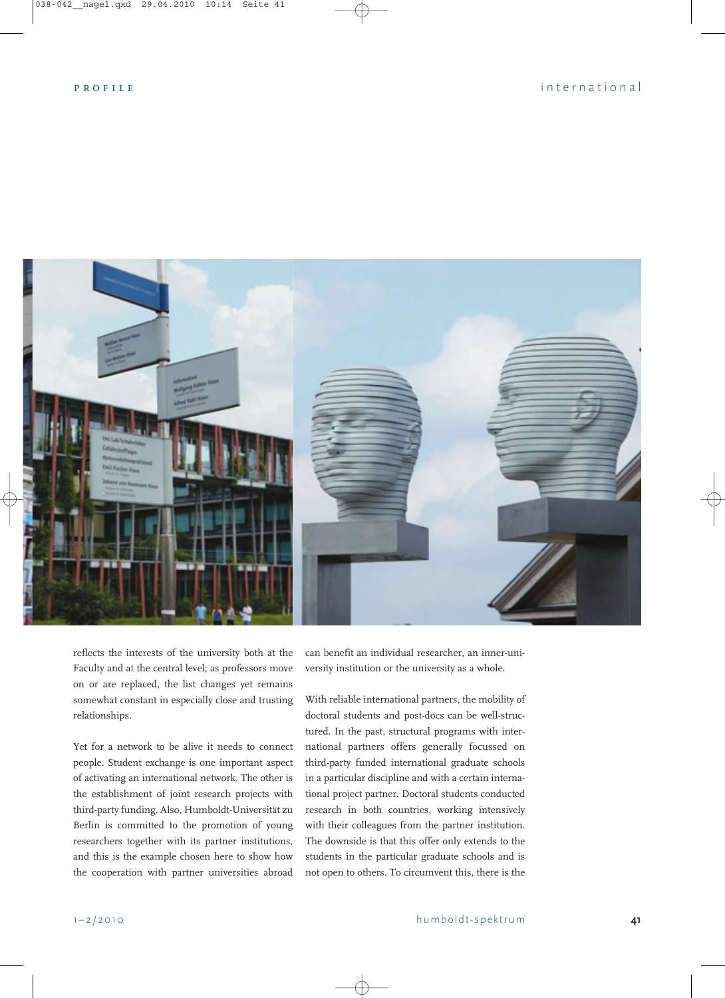

reflects the interests of the university both at the Faculty and at the central level; as professors move on or are replaced, the list changes yet remains somewhat constant in especially close and trusting relationships.

Yet for a network to be alive it needs to connect people. Student exchange is one important aspect of activating an international network. The other is the establishment of joint research projects with third-party funding. Also, Humboldt-Universität zu Berlin is committed to the promotion of young researchers together with its partner institutions, and this is the example chosen here to show how the cooperation with partner universities abroad

can benefit an individual researcher, an inner-university institution or the university as a whole.

With reliable international partners, the mobility of doctoral students and post-docs can be well-structured. In the past, structural programs with international partners offers generally focussed on third-party funded international graduate schools in a particular discipline and with a certain international project partner. Doctoral students conducted research in both countries, working intensively with their colleagues from the partner institution. The downside is that this offer only extends to the students in the particular graduate schools and is not open to others. To circumvent this, there is the